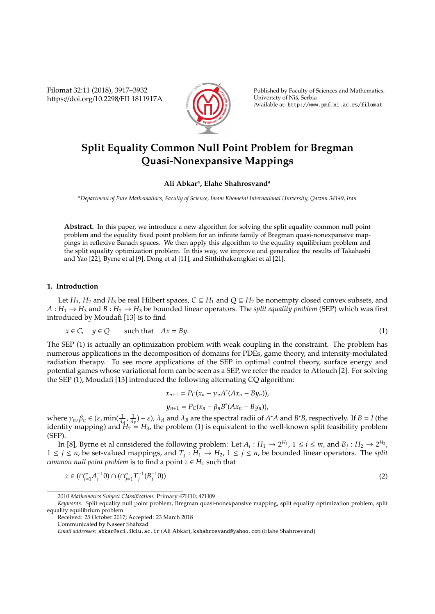Filomat 32:11 (2018), 3917–3932 https://doi.org/10.2298/FIL1811917A



Published by Faculty of Sciences and Mathematics, University of Niš, Serbia Available at: http://www.pmf.ni.ac.rs/filomat

# **Split Equality Common Null Point Problem for Bregman Quasi-Nonexpansive Mappings**

## **Ali Abkar<sup>a</sup> , Elahe Shahrosvand<sup>a</sup>**

*<sup>a</sup>Department of Pure Mathemathics, Faculty of Science, Imam Khomeini International University, Qazvin 34149, Iran*

**Abstract.** In this paper, we introduce a new algorithm for solving the split equality common null point problem and the equality fixed point problem for an infinite family of Bregman quasi-nonexpansive mappings in reflexive Banach spaces. We then apply this algorithm to the equality equilibrium problem and the split equality optimization problem. In this way, we improve and generalize the results of Takahashi and Yao [22], Byrne et al [9], Dong et al [11], and Sitthithakerngkiet et al [21].

### **1. Introduction**

Let  $H_1$ ,  $H_2$  and  $H_3$  be real Hilbert spaces,  $C \subseteq H_1$  and  $Q \subseteq H_2$  be nonempty closed convex subsets, and  $A: H_1 \to H_3$  and  $B: H_2 \to H_3$  be bounded linear operators. The *split equality problem* (SEP) which was first introduced by Moudafi [13] is to find

$$
x \in C, \quad y \in Q \qquad \text{such that} \quad Ax = By. \tag{1}
$$

The SEP (1) is actually an optimization problem with weak coupling in the constraint. The problem has numerous applications in the decomposition of domains for PDEs, game theory, and intensity-modulated radiation therapy. To see more applications of the SEP in optimal control theory, surface energy and potential games whose variational form can be seen as a SEP, we refer the reader to Attouch [2]. For solving the SEP (1), Moudafi [13] introduced the following alternating CQ algorithm:

$$
x_{n+1} = P_C(x_n - \gamma_n A^*(Ax_n - By_n)),
$$
  

$$
y_{n+1} = P_C(x_n - \beta_n B^*(Ax_n - By_n)),
$$

where  $\gamma_n$ ,  $\beta_n \in (\varepsilon, \min(\frac{1}{\lambda_4}, \frac{1}{\lambda_B}) - \varepsilon)$ ,  $\lambda_A$  and  $\lambda_B$  are the spectral radii of  $A^*A$  and  $B^*B$ , respectively. If  $B = I$  (the identity mapping) and  $H_2 = H_3$ , the problem (1) is equivalent to the well-known split feasibility problem (SFP).

In [8], Byrne et al considered the following problem: Let  $A_i: H_1 \to 2^{H_1}$ ,  $1 \le i \le m$ , and  $B_j: H_2 \to 2^{H_2}$ , 1 ≤ *j* ≤ *n*, be set-valued mappings, and *T<sup>j</sup>* : *H*<sup>1</sup> → *H*2, 1 ≤ *j* ≤ *n*, be bounded linear operators. The *split common null point problem* is to find a point  $z \in H_1$  such that

$$
z \in (\cap_{i=1}^m A_i^{-1}0) \cap (\cap_{j=1}^n T_j^{-1}(B_j^{-1}0))
$$
\n<sup>(2)</sup>

<sup>2010</sup> *Mathematics Subject Classification*. Primary 47H10; 47H09

*Keywords*. Split equality null point problem, Bregman quasi-nonexpansive mapping, split equality optimization problem, split equality equilibrium problem

Received: 25 October 2017; Accepted: 23 March 2018

Communicated by Naseer Shahzad

*Email addresses:* abkar@sci.ikiu.ac.ir (Ali Abkar), kshahrosvand@yahoo.com (Elahe Shahrosvand)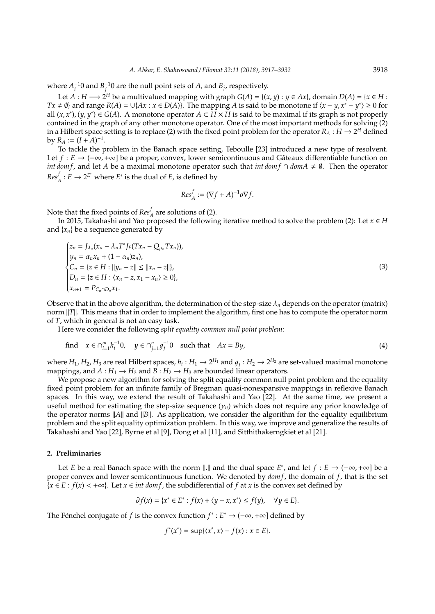where  $A_i^{-1}$  and  $B_j^{-1}$  are the null point sets of  $A_i$  and  $B_j$ , respectively.

Let  $A : H \longrightarrow 2^H$  be a multivalued mapping with graph  $G(A) = \{(x, y) : y \in Ax\}$ , domain  $D(A) = \{x \in H : x \in A\}$ *Tx* ≠  $\emptyset$ } and range *R*(*A*) = ∪{*Ax* : *x* ∈ *D*(*A*)}. The mapping *A* is said to be monotone if  $\langle x - y, x^* - y^* \rangle \ge 0$  for all  $(x, x^*)$ ,  $(y, y^*)$  ∈ *G*(*A*). A monotone operator *A* ⊂ *H* × *H* is said to be maximal if its graph is not properly contained in the graph of any other monotone operator. One of the most important methods for solving (2) in a Hilbert space setting is to replace (2) with the fixed point problem for the operator  $R_A: H \to 2^H$  defined by  $R_A := (I + A)^{-1}$ .

To tackle the problem in the Banach space setting, Teboulle [23] introduced a new type of resolvent. Let *f* : *E* → (-∞, +∞] be a proper, convex, lower semicontinuous and Gâteaux differentiable function on *int dom f*, and let *A* be a maximal monotone operator such that *int dom f* ∩ *dom A*  $\neq$  Ø. Then the operator  $Res_A^f : E \to 2^{E^*}$  where  $E^*$  is the dual of *E*, is defined by

$$
Res_A^f := (\nabla f + A)^{-1} o \nabla f.
$$

Note that the fixed points of  $Res_A^f$  are solutions of (2).

In 2015, Takahashi and Yao proposed the following iterative method to solve the problem (2): Let  $x \in H$ and  $\{x_n\}$  be a sequence generated by

$$
\begin{cases}\n z_n = J_{\lambda_n}(x_n - \lambda_n T^* J_F(Tx_n - Q_{\mu_n} Tx_n)), \\
 y_n = \alpha_n x_n + (1 - \alpha_n) z_n, \\
 C_n = \{ z \in H : ||y_n - z|| \le ||x_n - z|| \}, \\
 D_n = \{ z \in H : \langle x_n - z, x_1 - x_n \rangle \ge 0 \}, \\
 x_{n+1} = P_{C_n \cap D_n} x_1.\n\end{cases}
$$
\n(3)

Observe that in the above algorithm, the determination of the step-size  $\lambda_n$  depends on the operator (matrix) norm  $||T||$ . This means that in order to implement the algorithm, first one has to compute the operator norm of *T*, which in general is not an easy task.

Here we consider the following *split equality common null point problem*:

find 
$$
x \in \bigcap_{i=1}^{m} h_i^{-1}0
$$
,  $y \in \bigcap_{j=1}^{n} g_j^{-1}0$  such that  $Ax = By$ , (4)

where  $H_1$ ,  $H_2$ ,  $H_3$  are real Hilbert spaces,  $h_i: H_1 \to 2^{H_1}$  and  $g_j: H_2 \to 2^{H_2}$  are set-valued maximal monotone mappings, and  $A: H_1 \rightarrow H_3$  and  $B: H_2 \rightarrow H_3$  are bounded linear operators.

We propose a new algorithm for solving the split equality common null point problem and the equality fixed point problem for an infinite family of Bregman quasi-nonexpansive mappings in reflexive Banach spaces. In this way, we extend the result of Takahashi and Yao [22]. At the same time, we present a useful method for estimating the step-size sequence  $(\gamma_n)$  which does not require any prior knowledge of the operator norms  $||A||$  and  $||B||$ . As application, we consider the algorithm for the equality equilibrium problem and the split equality optimization problem. In this way, we improve and generalize the results of Takahashi and Yao [22], Byrne et al [9], Dong et al [11], and Sitthithakerngkiet et al [21].

### **2. Preliminaries**

Let *E* be a real Banach space with the norm  $\|.\|$  and the dual space *E*<sup>\*</sup>, and let  $f : E \to (-\infty, +\infty]$  be a proper convex and lower semicontinuous function. We denoted by *dom f*, the domain of *f*, that is the set  ${x \in E : f(x) < +\infty}$ . Let  $x \in int \text{ dom } f$ , the subdifferential of  $f$  at  $x$  is the convex set defined by

$$
\partial f(x) = \{x^* \in E^* : f(x) + \langle y - x, x^* \rangle \le f(y), \quad \forall y \in E\}.
$$

The Fénchel conjugate of *f* is the convex function  $f^* : E^* \to (-\infty, +\infty]$  defined by

$$
f^*(x^*) = \sup\{\langle x^*, x \rangle - f(x) : x \in E\}.
$$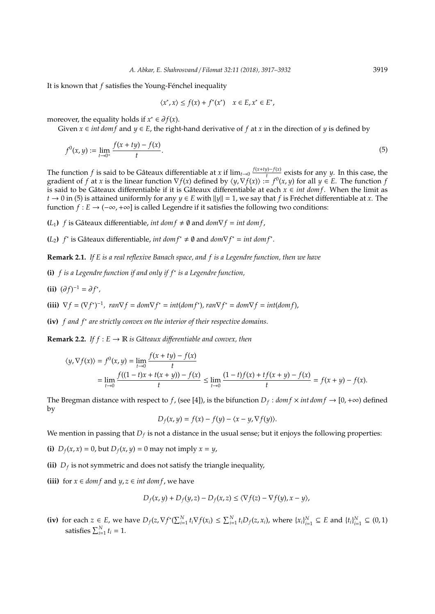It is known that *f* satisfies the Young-Fénchel inequality

$$
\langle x^*, x \rangle \le f(x) + f^*(x^*) \quad x \in E, x^* \in E^*,
$$

moreover, the equality holds if  $x^* \in \partial f(x)$ .

Given  $x \in int \, dom f$  and  $y \in E$ , the right-hand derivative of f at x in the direction of y is defined by

$$
f^{0}(x, y) := \lim_{t \to 0^{+}} \frac{f(x + ty) - f(x)}{t}.
$$
 (5)

The function *f* is said to be Gâteaux differentiable at *x* if  $\lim_{t\to 0} \frac{f(x+ty)-f(x)}{t}$  $\frac{y_1-y_1(x)}{t}$  exists for any *y*. In this case, the gradient of *f* at *x* is the linear function  $\nabla f(x)$  defined by  $\langle y, \nabla f(x) \rangle := f^0(x, y)$  for all  $y \in E$ . The function *f* is said to be Gâteaux differentiable if it is Gâteaux differentiable at each  $x \in int$  *dom f*. When the limit as *t* → 0 in (5) is attained uniformly for any *y* ∈ *E* with  $||y|| = 1$ , we say that *f* is Fréchet differentiable at *x*. The function *f* : *E* → ( $-\infty$ ,  $+\infty$ ) is called Legendre if it satisfies the following two conditions:

**(***L***<sub>1</sub>)**  $f$  is Gâteaux differentiable, *int dom*  $f \neq \emptyset$  and  $dom \nabla f = int dom f$ ,

(*L*<sub>2</sub>) *f*<sup>∗</sup> is Gâteaux differentiable, *int dom f*<sup>∗</sup> ≠  $\emptyset$  and *dom* $\nabla f$ <sup>∗</sup> = *int dom f*<sup>∗</sup>.

**Remark 2.1.** *If E is a real reflexive Banach space, and f is a Legendre function, then we have*

- **(i)** *f is a Legendre function if and only if f*<sup>∗</sup> *is a Legendre function,*
- **(ii)**  $(\partial f)^{-1} = \partial f^*$ ,

(iii)  $\nabla f = (\nabla f^*)^{-1}$ ,  $ran \nabla f = dom \nabla f^* = int(dom f^*)$ ,  $ran \nabla f^* = dom \nabla f = int(dom f)$ ,

**(iv)** *f and f*<sup>∗</sup> *are strictly convex on the interior of their respective domains.*

**Remark 2.2.** *If f* :  $E \rightarrow \mathbb{R}$  *is Gâteaux differentiable and convex, then* 

$$
\langle y, \nabla f(x) \rangle = f^0(x, y) = \lim_{t \to 0} \frac{f(x + ty) - f(x)}{t}
$$
  
= 
$$
\lim_{t \to 0} \frac{f((1 - t)x + t(x + y)) - f(x)}{t} \le \lim_{t \to 0} \frac{(1 - t)f(x) + tf(x + y) - f(x)}{t} = f(x + y) - f(x).
$$

The Bregman distance with respect to *f*, (see [4]), is the bifunction  $D_f$ :  $dom f \times int dom f \rightarrow [0, +\infty)$  defined by

$$
D_f(x, y) = f(x) - f(y) - \langle x - y, \nabla f(y) \rangle.
$$

We mention in passing that  $D_f$  is not a distance in the usual sense; but it enjoys the following properties:

**(i)**  $D_f(x, x) = 0$ , but  $D_f(x, y) = 0$  may not imply  $x = y$ ,

- **(ii)**  $D_f$  is not symmetric and does not satisfy the triangle inequality,
- **(iii)** for *x* ∈ *dom f* and *y*, *z* ∈ *int dom f*, we have

$$
D_f(x, y) + D_f(y, z) - D_f(x, z) \le \langle \nabla f(z) - \nabla f(y), x - y \rangle,
$$

(iv) for each  $z \in E$ , we have  $D_f(z, \nabla f^*(\sum_{i=1}^N t_i \nabla f(x_i) \le \sum_{i=1}^N t_i D_f(z, x_i)$ , where  $\{x_i\}_{i=1}^N \subseteq E$  and  $\{t_i\}_{i=1}^N \subseteq (0, 1)$ satisfies  $\sum_{i=1}^{N} t_i = 1$ .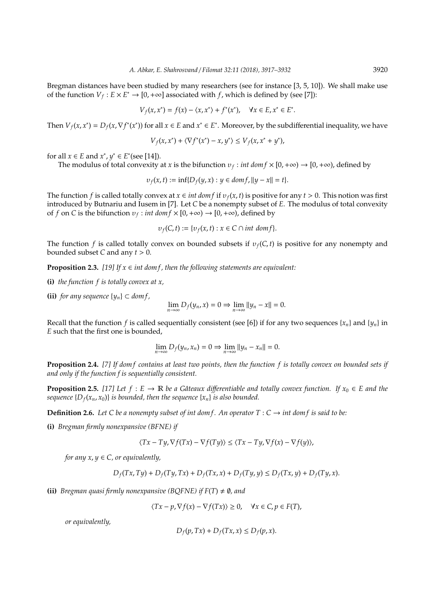Bregman distances have been studied by many researchers (see for instance [3, 5, 10]). We shall make use of the function  $V_f: E \times E^* \to [0, +\infty]$  associated with *f*, which is defined by (see [7]):

$$
V_f(x, x^*) = f(x) - \langle x, x^* \rangle + f^*(x^*), \quad \forall x \in E, x^* \in E^*.
$$

Then  $V_f(x, x^*) = D_f(x, \nabla f^*(x^*))$  for all  $x \in E$  and  $x^* \in E^*$ . Moreover, by the subdifferential inequality, we have

$$
V_f(x, x^*) + \langle \nabla f^*(x^*) - x, y^* \rangle \le V_f(x, x^* + y^*),
$$

for all  $x \in E$  and  $x^*$ ,  $y^* \in E^*$  (see [14]).

The modulus of total convexity at *x* is the bifunction  $v_f$ : *int dom*  $f \times [0, +\infty) \to [0, +\infty)$ , defined by

$$
\nu_f(x,t) := \inf \{ D_f(y,x) : y \in \text{dom} f, \|y - x\| = t \}.
$$

The function *f* is called totally convex at  $x \in int dom f$  if  $v_f(x, t)$  is positive for any  $t > 0$ . This notion was first introduced by Butnariu and Iusem in [7]. Let *C* be a nonempty subset of *E*. The modulus of total convexity of *f* on *C* is the bifunction  $v_f$ : *int dom*  $f \times [0, +\infty) \rightarrow [0, +\infty)$ , defined by

$$
\nu_f(C,t) := \{ \nu_f(x,t) : x \in C \cap int \text{ dom } f \}.
$$

The function *f* is called totally convex on bounded subsets if  $v_f(C, t)$  is positive for any nonempty and bounded subset *C* and any  $t > 0$ .

**Proposition 2.3.** [19] If  $x \in \text{int dom } f$ , then the following statements are equivalent:

**(i)** *the function f is totally convex at x,*

**(ii)** *for any sequence*  $\{y_n\}$  ⊂ *dom f*,

$$
\lim_{n\to\infty} D_f(y_n,x)=0\Rightarrow \lim_{n\to\infty}||y_n-x||=0.
$$

Recall that the function *f* is called sequentially consistent (see [6]) if for any two sequences  $\{x_n\}$  and  $\{y_n\}$  in *E* such that the first one is bounded,

$$
\lim_{n\to\infty}D_f(y_n,x_n)=0\Rightarrow\lim_{n\to\infty}||y_n-x_n||=0.
$$

**Proposition 2.4.** *[7] If dom f contains at least two points, then the function f is totally convex on bounded sets if and only if the function f is sequentially consistent.*

**Proposition 2.5.** [17] Let  $f : E \to \mathbb{R}$  be a Gâteaux differentiable and totally convex function. If  $x_0 \in E$  and the *sequence*  $\{D_f(x_n, x_0)\}$  *is bounded, then the sequence*  $\{x_n\}$  *is also bounded.* 

**Definition 2.6.** *Let* C *be a nonempty subset of int dom f. An operator*  $T : C \rightarrow int$  *dom f is said to be:* 

**(i)** *Bregman firmly nonexpansive (BFNE) if*

$$
\langle Tx - Ty, \nabla f(Tx) - \nabla f(Ty) \rangle \le \langle Tx - Ty, \nabla f(x) - \nabla f(y) \rangle,
$$

*for any*  $x, y \in C$ *, or equivalently,* 

$$
D_f(Tx, Ty) + D_f(Ty, Tx) + D_f(Tx, x) + D_f(Ty, y) \le D_f(Tx, y) + D_f(Ty, x).
$$

**(ii)** *Bregman quasi firmly nonexpansive (BQFNE) if*  $F(T) \neq \emptyset$ *, and* 

$$
\langle Tx - p, \nabla f(x) - \nabla f(Tx) \rangle \ge 0, \quad \forall x \in C, p \in F(T),
$$

*or equivalently,*

$$
D_f(p, Tx) + D_f(Tx, x) \le D_f(p, x).
$$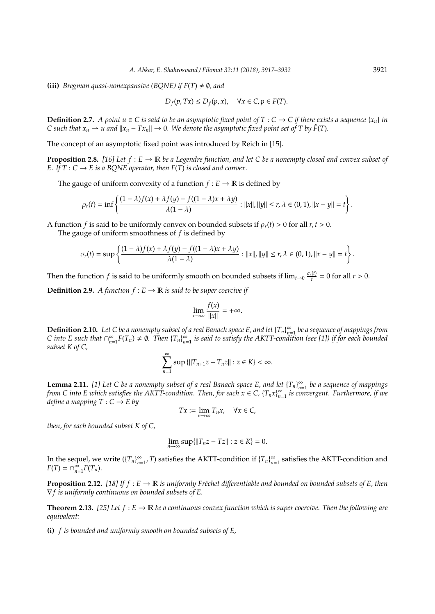**(iii)** *Bregman quasi-nonexpansive (BQNE) if*  $F(T) \neq \emptyset$ , and

$$
D_f(p, Tx) \le D_f(p, x), \quad \forall x \in C, p \in F(T).
$$

**Definition 2.7.** *A point u*  $\in$  *C is said to be an asymptotic fixed point of T : C*  $\rightarrow$  *C if there exists a sequence* {*x<sub>n</sub>*} *in C* such that  $x_n \rightharpoonup u$  and  $||x_n - Tx_n|| \rightharpoonup 0$ . We denote the asymptotic fixed point set of T by  $\hat{F}(T)$ .

The concept of an asymptotic fixed point was introduced by Reich in [15].

**Proposition 2.8.** [16] Let  $f : E \to \mathbb{R}$  be a Legendre function, and let C be a nonempty closed and convex subset of *E.* If  $T : C \rightarrow E$  *is a BQNE operator, then*  $F(T)$  *is closed and convex.* 

The gauge of uniform convexity of a function  $f : E \to \mathbb{R}$  is defined by

$$
\rho_r(t)=\inf\left\{\frac{(1-\lambda)f(x)+\lambda f(y)-f((1-\lambda)x+\lambda y)}{\lambda(1-\lambda)}:||x||,||y||\leq r, \lambda\in(0,1),||x-y||=t\right\}.
$$

A function *f* is said to be uniformly convex on bounded subsets if  $\rho_r(t) > 0$  for all  $r, t > 0$ .

The gauge of uniform smoothness of *f* is defined by

$$
\sigma_r(t)=\sup\left\{\frac{(1-\lambda)f(x)+\lambda f(y)-f((1-\lambda)x+\lambda y)}{\lambda(1-\lambda)}:\|x\|,\|y\|\leq r, \lambda\in(0,1), \|x-y\|=t\right\}.
$$

Then the function *f* is said to be uniformly smooth on bounded subsets if  $\lim_{t\to 0} \frac{\sigma_r(t)}{t}$  $\frac{f(t)}{t} = 0$  for all  $r > 0$ .

**Definition 2.9.** *A function*  $f : E \to \mathbb{R}$  *is said to be super coercive if* 

$$
\lim_{x \to \infty} \frac{f(x)}{\|x\|} = +\infty.
$$

**Definition 2.10.** *Let* C *be a nonempty subset of a real Banach space E, and let*  $\{T_n\}_{n=1}^{\infty}$ *n*=1 *be a sequence of mappings from C* into *E* such that  $\bigcap_{n=1}^{\infty}$  $\sum_{n=1}^{\infty} F(T_n) \neq \emptyset$ . Then  ${T_n}_{n=1}^{\infty}$ *n*=1 *is said to satisfy the AKTT-condition (see [1]) if for each bounded subset K of C,*

$$
\sum_{n=1}^{\infty} \sup \{ ||T_{n+1}z - T_nz|| : z \in K \} < \infty.
$$

**Lemma 2.11.** [1] Let C be a nonempty subset of a real Banach space E, and let  $\{T_n\}_{n=1}^{\infty}$ *n*=1 *be a sequence of mappings from C into E which satisfies the AKTT-condition. Then, for each*  $x \in C$ *,*  $\{T_n x\}_{n=1}^{\infty}$ *n*=1 *is convergent. Furthermore, if we define a mapping*  $T: C \rightarrow E$  *by* 

$$
Tx := \lim_{n \to \infty} T_n x, \quad \forall x \in C,
$$

*then, for each bounded subset K of C,*

$$
\lim_{n \to \infty} \sup \{ ||T_n z - T z|| : z \in K \} = 0.
$$

In the sequel, we write  $(\{T_n\}_{n=1}^{\infty})$  $\sum_{n=1}^{\infty}$ , *T*) satisfies the AKTT-condition if  ${T_n}_{n=1}^{\infty}$  $\sum_{n=1}^{\infty}$  satisfies the AKTT-condition and  $F(T) = \bigcap_{n=1}^{\infty}$  $_{n=1}^{\infty}F(T_n).$ 

**Proposition 2.12.** [18] If  $f : E \to \mathbb{R}$  *is uniformly Fréchet differentiable and bounded on bounded subsets of E, then* ∇*f is uniformly continuous on bounded subsets of E.*

**Theorem 2.13.** *[25] Let f* : *E* → R *be a continuous convex function which is super coercive. Then the following are equivalent:*

**(i)** *f is bounded and uniformly smooth on bounded subsets of E,*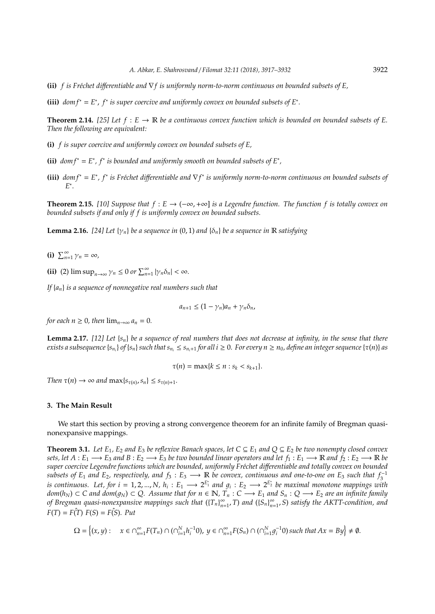**(ii)** *f is Fr´echet di*ff*erentiable and* ∇*f is uniformly norm-to-norm continuous on bounded subsets of E,*

(iii)  $dom f^* = E^*$ ,  $f^*$  is super coercive and uniformly convex on bounded subsets of  $E^*$ .

**Theorem 2.14.** [25] Let  $f : E \to \mathbb{R}$  be a continuous convex function which is bounded on bounded subsets of E. *Then the following are equivalent:*

- **(i)** *f is super coercive and uniformly convex on bounded subsets of E,*
- (ii)  $dom f^* = E^*$ ,  $f^*$  is bounded and uniformly smooth on bounded subsets of  $E^*$ ,
- (iii)  $dom f^* = E^*$ ,  $f^*$  is Fréchet differentiable and  $\nabla f^*$  is uniformly norm-to-norm continuous on bounded subsets of *E* .

**Theorem 2.15.** *[10] Suppose that f* : *E* → (−∞,+∞] *is a Legendre function. The function f is totally convex on bounded subsets if and only if f is uniformly convex on bounded subsets.*

**Lemma 2.16.** [24] Let  $\{\gamma_n\}$  be a sequence in (0, 1) and  $\{\delta_n\}$  be a sequence in R satisfying

**(i)**  $\sum_{n=1}^{\infty} \gamma_n = \infty$ ,

**(ii)** (2)  $\limsup_{n\to\infty} \gamma_n \leq 0$  or  $\sum_{n=1}^{\infty} |\gamma_n \delta_n| < \infty$ .

*If* {*an*} *is a sequence of nonnegative real numbers such that*

$$
a_{n+1} \leq (1 - \gamma_n)a_n + \gamma_n \delta_n,
$$

*for each n*  $\geq$  0*, then*  $\lim_{n\to\infty} a_n = 0$ .

**Lemma 2.17.** *[12] Let* {*sn*} *be a sequence of real numbers that does not decrease at infinity, in the sense that there* exists a subsequence {s<sub>ni</sub>} of {s<sub>n</sub>} such that s<sub>ni</sub>  $\leq$  s<sub>ni+1</sub> for all  $i\geq 0$ . For every  $n\geq n_0$ , define an integer sequence { $\tau(n)$ } as

$$
\tau(n)=\max\{k\leq n : s_k
$$

*Then*  $\tau(n) \to \infty$  *and*  $\max\{s_{\tau(n)}, s_n\} \leq s_{\tau(n)+1}$ *.* 

## **3. The Main Result**

We start this section by proving a strong convergence theorem for an infinite family of Bregman quasinonexpansive mappings.

**Theorem 3.1.** *Let*  $E_1$ ,  $E_2$  *and*  $E_3$  *be reflexive Banach spaces, let*  $C \subseteq E_1$  *and*  $Q \subseteq E_2$  *be two nonempty closed convex sets, let*  $A: E_1 \longrightarrow E_3$  and  $B: E_2 \longrightarrow E_3$  *be two bounded linear operators and let*  $f_1: E_1 \longrightarrow \mathbb{R}$  and  $f_2: E_2 \longrightarrow \mathbb{R}$  *be super coercive Legendre functions which are bounded, uniformly Fr´echet di*ff*erentiable and totally convex on bounded subsets of E*<sub>1</sub> *and E*<sub>2</sub>*, respectively, and f*<sub>3</sub> : *E*<sub>3</sub>  $\longrightarrow$  R *be convex, continuous and one-to-one on E*<sub>3</sub> *such that f*<sub>3</sub><sup>-1</sup> *is continuous. Let, for*  $i = 1, 2, ..., N$ *,*  $h_i : E_1 \longrightarrow 2^{E_1^*}$  *and*  $g_i : E_2 \longrightarrow 2^{E_2^*}$  *be maximal monotone mappings with*  $dom(h_N)$  ⊂ *C* and  $dom(g_N)$  ⊂ *Q.* Assume that for  $n \in \mathbb{N}$ ,  $\overline{T}_n$  : *C* →  $E_1$  and  $S_n$  : *Q* →  $E_2$  are an infinite family *of Bregman quasi-nonexpansive mappings such that* ({*Tn*} ∞  $\sum_{n=1}^{\infty}$ , *T*) and  $(\{S_n\}_{n=1}^{\infty})$ *n*=1 , *S*) *satisfy the AKTT-condition, and*  $F(T) = F(T) F(S) = F(S)$ *. Put* 

$$
\Omega = \left\{ (x, y) : \quad x \in \cap_{n=1}^{\infty} F(T_n) \cap (\cap_{i=1}^N h_i^{-1} 0), \ y \in \cap_{n=1}^{\infty} F(S_n) \cap (\cap_{i=1}^N g_i^{-1} 0) \text{ such that } Ax = By \right\} \neq \emptyset.
$$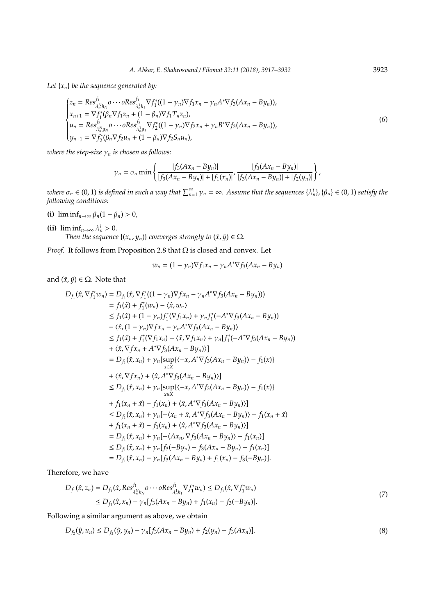*Let*  $\{x_n\}$  *be the sequence generated by:* 

$$
\begin{cases}\nz_n = Res_{\lambda_n^N h_N}^{f_1} \circ \cdots \circ Res_{\lambda_n^1 h_1}^{f_1} \nabla f_1^* ((1 - \gamma_n) \nabla f_1 x_n - \gamma_n A^* \nabla f_3 (Ax_n - By_n)), \\
x_{n+1} = \nabla f_1^* (\beta_n \nabla f_1 z_n + (1 - \beta_n) \nabla f_1 T_n z_n), \\
u_n = Res_{\lambda_n^N g_N}^{f_2} \circ \cdots \circ Res_{\lambda_n^1 g_1}^{f_2} \nabla f_2^* ((1 - \gamma_n) \nabla f_2 x_n + \gamma_n B^* \nabla f_3 (Ax_n - By_n)), \\
y_{n+1} = \nabla f_2^* (\beta_n \nabla f_2 u_n + (1 - \beta_n) \nabla f_2 S_n u_n),\n\end{cases} \tag{6}
$$

*where the step-size*  $\gamma_n$  *is chosen as follows:* 

$$
\gamma_n = \sigma_n \min \left\{ \frac{|f_3(Ax_n - By_n)|}{|f_3(Ax_n - By_n)| + |f_1(x_n)|}, \frac{|f_3(Ax_n - By_n)|}{|f_3(Ax_n - By_n)| + |f_2(y_n)|} \right\},\,
$$

 $m$  where  $\sigma_n \in (0,1)$  is defined in such a way that  $\sum_{n=1}^{\infty} \gamma_n = \infty$ . Assume that the sequences  $\{\lambda_n^i\}$ ,  $\{\beta_n\} \in (0,1)$  satisfy the *following conditions:*

**(i)** lim inf $_{n\to\infty}$   $\beta_n(1-\beta_n) > 0$ ,

(ii)  $\liminf_{n\to\infty} \lambda_n^i > 0$ . *Then the sequence*  $\{(x_n, y_n)\}$  *converges strongly to*  $(\bar{x}, \bar{y}) \in \Omega$ *.* 

*Proof.* It follows from Proposition 2.8 that Ω is closed and convex. Let

$$
w_n = (1 - \gamma_n)\nabla f_1 x_n - \gamma_n A^* \nabla f_3 (Ax_n - By_n)
$$

and  $(\hat{x}, \hat{y}) \in \Omega$ . Note that

$$
D_{f_1}(\hat{x}, \nabla f_1^* w_n) = D_{f_1}(\hat{x}, \nabla f_1^* ((1 - \gamma_n) \nabla f x_n - \gamma_n A^* \nabla f_3(Ax_n - By_n)))
$$
  
\n
$$
= f_1(\hat{x}) + f_1^* (w_n) - \langle \hat{x}, w_n \rangle
$$
  
\n
$$
\leq f_1(\hat{x}) + (1 - \gamma_n) f_1^* (\nabla f_1 x_n) + \gamma_n f_1^* (-A^* \nabla f_3(Ax_n - By_n))
$$
  
\n
$$
- \langle \hat{x}, (1 - \gamma_n) \nabla f x_n - \gamma_n A^* \nabla f_3(Ax_n - By_n)) \rangle
$$
  
\n
$$
\leq f_1(\hat{x}) + f_1^* (\nabla f_1 x_n) - \langle \hat{x}, \nabla f_1 x_n \rangle + \gamma_n [f_1^* (-A^* \nabla f_3(Ax_n - By_n))]
$$
  
\n
$$
+ \langle \hat{x}, \nabla f x_n + A^* \nabla f_3(Ax_n - By_n) \rangle ]
$$
  
\n
$$
= D_{f_1}(\hat{x}, x_n) + \gamma_n [sup\{\langle -x, A^* \nabla f_3(Ax_n - By_n) \rangle - f_1(x)\}\rangle
$$
  
\n
$$
\leq D_{f_1}(\hat{x}, x_n) + \gamma_n [sup\{\langle -x, A^* \nabla f_3(Ax_n - By_n) \rangle - f_1(x)\}\rangle
$$
  
\n
$$
\leq D_{f_1}(\hat{x}, x_n) + \gamma_n [sup\{\langle -x, A^* \nabla f_3(Ax_n - By_n) \rangle - f_1(x)\}\rangle
$$
  
\n
$$
\leq D_{f_1}(\hat{x}, x_n) + \gamma_n [-\langle x_n + \hat{x}, A^* \nabla f_3(Ax_n - By_n) \rangle - f_1(x_n + \hat{x})\|]
$$
  
\n
$$
\leq D_{f_1}(\hat{x}, x_n) + \gamma_n [-\langle x_n + \hat{x}, A^* \nabla f_3(Ax_n - By_n) \rangle - f_1(x_n + \hat{x})\|]
$$
  
\n
$$
= D_{f_1}(\hat{x}, x_n) + \gamma_n [f_1(x_n) + \langle \
$$

Therefore, we have

$$
D_{f_1}(\hat{x}, z_n) = D_{f_1}(\hat{x}, Res_{\lambda_h^N h_N}^{f_1} o \cdots \circ Res_{\lambda_h^1 h_1}^{f_1} \nabla f_1^* w_n) \le D_{f_1}(\hat{x}, \nabla f_1^* w_n)
$$
  
\n
$$
\le D_{f_1}(\hat{x}, x_n) - \gamma_n [f_3(Ax_n - By_n) + f_1(x_n) - f_3(-By_n)].
$$
\n(7)

Following a similar argument as above, we obtain

$$
D_{f_2}(\hat{y}, u_n) \le D_{f_2}(\hat{y}, y_n) - \gamma_n [f_3(Ax_n - By_n) + f_2(y_n) - f_3(Ax_n)]. \tag{8}
$$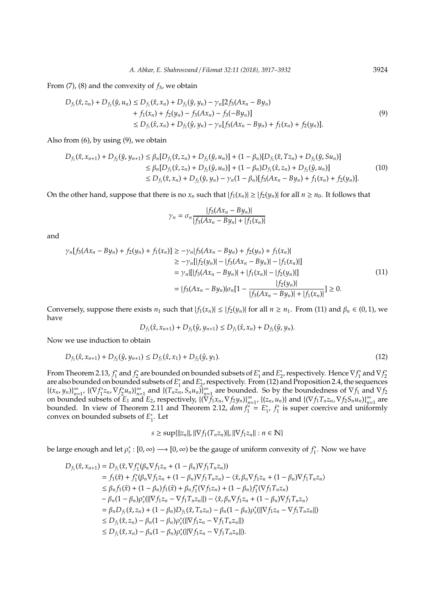From (7), (8) and the convexity of *f*3, we obtain

$$
D_{f_1}(\hat{x}, z_n) + D_{f_2}(\hat{y}, u_n) \le D_{f_1}(\hat{x}, x_n) + D_{f_2}(\hat{y}, y_n) - \gamma_n [2f_3(Ax_n - By_n) + f_1(x_n) + f_2(y_n) - f_3(Ax_n) - f_3(-By_n)] \le D_{f_1}(\hat{x}, x_n) + D_{f_2}(\hat{y}, y_n) - \gamma_n [f_3(Ax_n - By_n) + f_1(x_n) + f_2(y_n)].
$$
\n(9)

Also from (6), by using (9), we obtain

$$
D_{f_1}(\hat{x}, x_{n+1}) + D_{f_2}(\hat{y}, y_{n+1}) \le \beta_n [D_{f_1}(\hat{x}, z_n) + D_{f_2}(\hat{y}, u_n)] + (1 - \beta_n) [D_{f_1}(\hat{x}, Tz_n) + D_{f_2}(\hat{y}, Su_n)]
$$
  
\n
$$
\le \beta_n [D_{f_1}(\hat{x}, z_n) + D_{f_2}(\hat{y}, u_n)] + (1 - \beta_n) D_{f_1}(\hat{x}, z_n) + D_{f_2}(\hat{y}, u_n)]
$$
  
\n
$$
\le D_{f_1}(\hat{x}, x_n) + D_{f_2}(\hat{y}, y_n) - \gamma_n (1 - \beta_n) [f_3(Ax_n - By_n) + f_1(x_n) + f_2(y_n)].
$$
\n(10)

On the other hand, suppose that there is no  $x_n$  such that  $|f_1(x_n)| \ge |f_2(y_n)|$  for all  $n \ge n_0$ . It follows that

$$
\gamma_n = \sigma_n \frac{|f_3(Ax_n - By_n)|}{|f_3(Ax_n - By_n| + |f_1(x_n)|)}
$$

and

$$
\gamma_n[f_3(Ax_n - By_n) + f_2(y_n) + f_1(x_n)] \ge -\gamma_n[f_3(Ax_n - By_n) + f_2(y_n) + f_1(x_n)]
$$
  
\n
$$
\ge -\gamma_n[[f_2(y_n)] - [f_3(Ax_n - By_n)] - [f_1(x_n)]]
$$
  
\n
$$
= \gamma_n[[f_3(Ax_n - By_n)] + [f_1(x_n)] - [f_2(y_n)]]
$$
  
\n
$$
= [f_3(Ax_n - By_n)]\sigma_n[1 - \frac{[f_2(y_n)]}{[f_3(Ax_n - By_n)] + [f_1(x_n)]}] \ge 0.
$$
\n(11)

Conversely, suppose there exists  $n_1$  such that  $|f_1(x_n)| \le |f_2(y_n)|$  for all  $n \ge n_1$ . From (11) and  $\beta_n \in (0,1)$ , we have

$$
D_{f_1}(\hat{x}, x_{n+1}) + D_{f_2}(\hat{y}, y_{n+1}) \leq D_{f_1}(\hat{x}, x_n) + D_{f_2}(\hat{y}, y_n).
$$

Now we use induction to obtain

$$
D_{f_1}(\hat{x}, x_{n+1}) + D_{f_2}(\hat{y}, y_{n+1}) \le D_{f_1}(\hat{x}, x_1) + D_{f_2}(\hat{y}, y_1). \tag{12}
$$

From Theorem 2.13,  $f_1^*$  and  $f_2^*$  are bounded on bounded subsets of  $E_1^*$  and  $E_2^*$ , respectively. Hence  $\nabla f_1^*$  and  $\nabla f_2^*$ 1 fold Theorem 2.15,  $j_1$  and  $j_2$  are bounded on bounded subsets of  $E_1$  and  $E_2$ , respectively. Thence  $v_j$  and  $v_j$  and  $v_j$  are also bounded on bounded subsets of  $E_1^*$  and  $E_2^*$ , respectively. From (12) and P  $^{*}_{1}$  and  $E_{2}^{*}$  $\frac{1}{2}$ , respectively. From (12) and Proposition 2.4, the sequences { $(x_n, y_n)$ }<sup>∞</sup><sub>n=</sub>  $\sum_{n=1}^{\infty}$  {( $\nabla f_1^*$ 1 *zn*,∇*f* ∗  $\binom{n}{2} u_n$ } $\binom{8}{n}$  $\sum_{n=1}^{\infty}$  and  $\{(T_n z_n, S_n u_n)\}_{n=1}^{\infty}$  $\sum_{n=1}^{\infty}$  are bounded. So by the boundedness of  $\nabla f_1$  and  $\nabla f_2$ on bounded subsets of  $E_1$  and  $E_2$ , respectively,  $\{(\nabla f_1 x_n, \nabla f_2 y_n)\}_{n=1}^{\infty}$  $\sum_{n=1}^{\infty}$ , {(*z*<sub>*n*</sub>, *u<sub>n</sub>*)} and {( $\nabla f_1 T_n z_n$ ,  $\nabla f_2 S_n u_n$ )}  $\sum_{n=1}^{\infty}$  are bounded. In view of Theorem 2.11 and Theorem 2.12,  $dom f_1^* = E_1^*$ \*<br><sup>\*</sup><sub>1</sub>, *f*<sup>\*</sup>  $\frac{\pi}{1}$  is super coercive and uniformly convex on bounded subsets of *E* ∗  $i<sub>1</sub>$ . Let

 $s \geq \sup\{\|z_n\|, \|\nabla f_1(T_n z_n)\|, \|\nabla f_1 z_n\| : n \in \mathbb{N}\}\}$ 

be large enough and let  $\rho_s^*$  :  $[0, \infty) \longrightarrow [0, \infty)$  be the gauge of uniform convexity of  $f_1^*$  $i_1^*$ . Now we have

$$
D_{f_1}(\hat{x}, x_{n+1}) = D_{f_1}(\hat{x}, \nabla f_1^*(\beta_n \nabla f_1 z_n + (1 - \beta_n) \nabla f_1 T_n z_n))
$$
  
\n
$$
= f_1(\hat{x}) + f_1^*(\beta_n \nabla f_1 z_n + (1 - \beta_n) \nabla f_1 T_n z_n) - \langle \hat{x}, \beta_n \nabla f_1 z_n + (1 - \beta_n) \nabla f_1 T_n z_n \rangle
$$
  
\n
$$
\leq \beta_n f_1(\hat{x}) + (1 - \beta_n) f_1(\hat{x}) + \beta_n f_1^*(\nabla f_1 z_n) + (1 - \beta_n) f_1^*(\nabla f_1 T_n z_n)
$$
  
\n
$$
- \beta_n (1 - \beta_n) \rho_s^* (\|\nabla f_1 z_n - \nabla f_1 T_n z_n\|) - \langle \hat{x}, \beta_n \nabla f_1 z_n + (1 - \beta_n) \nabla f_1 T_n z_n \rangle
$$
  
\n
$$
= \beta_n D_{f_1}(\hat{x}, z_n) + (1 - \beta_n) D_{f_1}(\hat{x}, T_n z_n) - \beta_n (1 - \beta_n) \rho_s^* (\|\nabla f_1 z_n - \nabla f_1 T_n z_n\|)
$$
  
\n
$$
\leq D_{f_1}(\hat{x}, z_n) - \beta_n (1 - \beta_n) \rho_s^* (\|\nabla f_1 z_n - \nabla f_1 T_n z_n\|).
$$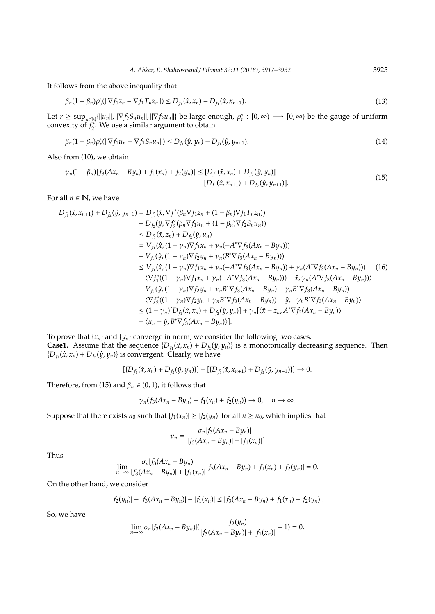It follows from the above inequality that

$$
\beta_n(1-\beta_n)\rho_s^*(||\nabla f_1 z_n - \nabla f_1 T_n z_n||) \le D_{f_1}(\hat{x}, x_n) - D_{f_1}(\hat{x}, x_{n+1}).
$$
\n(13)

Let  $r \geq \sup_{n \in \mathbb{N}} \{||u_n||, ||\nabla f_2 S_n u_n||, ||\nabla f_2 u_n||\}$  be large enough,  $\rho_r^* : [0, \infty) \longrightarrow [0, \infty)$  be the gauge of uniform convexity of  $f_2^*$  $\frac{1}{2}$ . We use a similar argument to obtain

$$
\beta_n(1-\beta_n)\rho_r^*(||\nabla f_1 u_n - \nabla f_1 S_n u_n||) \le D_{f_1}(\hat{y}, y_n) - D_{f_1}(\hat{y}, y_{n+1}).
$$
\n(14)

Also from (10), we obtain

$$
\gamma_n(1 - \beta_n)[f_3(Ax_n - By_n) + f_1(x_n) + f_2(y_n)] \le [D_{f_1}(\hat{x}, x_n) + D_{f_2}(\hat{y}, y_n)] - [D_{f_1}(\hat{x}, x_{n+1}) + D_{f_2}(\hat{y}, y_{n+1})].
$$
\n(15)

For all  $n \in \mathbb{N}$ , we have

$$
D_{f_1}(\hat{x}, x_{n+1}) + D_{f_2}(\hat{y}, y_{n+1}) = D_{f_1}(\hat{x}, \nabla f_1^*(\beta_n \nabla f_1 z_n + (1 - \beta_n) \nabla f_2 T_n z_n))
$$
  
+ 
$$
D_{f_2}(\hat{y}, \nabla f_2^*(\beta_n \nabla f_1 u_n + (1 - \beta_n) \nabla f_2 S_n u_n))
$$
  

$$
\leq D_{f_1}(\hat{x}, z_n) + D_{f_2}(\hat{y}, u_n)
$$
  
= 
$$
V_{f_1}(\hat{x}, (1 - \gamma_n) \nabla f_1 x_n + \gamma_n (-A^* \nabla f_3 (Ax_n - By_n)))
$$
  
+ 
$$
V_{f_2}(\hat{y}, (1 - \gamma_n) \nabla f_2 y_n + \gamma_n (B^* \nabla f_3 (Ax_n - By_n)))
$$
  

$$
\leq V_{f_1}(\hat{x}, (1 - \gamma_n) \nabla f_1 x_n + \gamma_n (-A^* \nabla f_3 (Ax_n - By_n))) + \gamma_n (A^* \nabla f_3 (Ax_n - By_n)))
$$
  
- 
$$
\langle \nabla f_1^*((1 - \gamma_n) \nabla f_1 x_n + \gamma_n (-A^* \nabla f_3 (Ax_n - By_n))) - \hat{x}, \gamma_n (A^* \nabla f_3 (Ax_n - By_n)))
$$
  
+ 
$$
V_{f_2}(\hat{y}, (1 - \gamma_n) \nabla f_2 y_n + \gamma_n B^* \nabla f_3 (Ax_n - By_n)) - \gamma_n B^* \nabla f_3 (Ax_n - By_n))
$$
  
- 
$$
\langle \nabla f_2^*((1 - \gamma_n) \nabla f_2 y_n + \gamma_n B^* \nabla f_3 (Ax_n - By_n)) - \hat{y}, -\gamma_n B^* \nabla f_3 (Ax_n - By_n)) \rangle
$$
  

$$
\leq (1 - \gamma_n) [D_{f_1}(\hat{x}, x_n) + D_{f_2}(\hat{y}, y_n)] + \gamma_n [(\hat{x} - z_n, A^* \nabla f_3 (Ax_n - By_n))]
$$
  
+ 
$$
\langle u_n - \hat{y}, B^* \nabla f_3 (Ax_n - By_n) \rangle].
$$

To prove that  ${x_n}$  and  ${y_n}$  converge in norm, we consider the following two cases. **Case1.** Assume that the sequence  $\{D_f(\hat{x}, x_n) + D_f(\hat{y}, y_n)\}$  is a monotonically decreasing sequence. Then  $\{D_{f_1}(\hat{x}, x_n) + D_{f_2}(\hat{y}, y_n)\}$  is convergent. Clearly, we have

$$
[\{D_{f_1}(\hat{x}, x_n) + D_{f_2}(\hat{y}, y_n)\}] - [\{D_{f_1}(\hat{x}, x_{n+1}) + D_{f_2}(\hat{y}, y_{n+1})\}] \rightarrow 0.
$$

Therefore, from (15) and  $\beta_n \in (0,1)$ , it follows that

$$
\gamma_n(f_3(Ax_n-By_n)+f_1(x_n)+f_2(y_n))\to 0, \quad n\to\infty.
$$

Suppose that there exists  $n_0$  such that  $|f_1(x_n)| \ge |f_2(y_n)|$  for all  $n \ge n_0$ , which implies that

$$
\gamma_n = \frac{\sigma_n |f_3(Ax_n - By_n)|}{|f_3(Ax_n - By_n)| + |f_1(x_n)|}.
$$

Thus

$$
\lim_{n\to\infty}\frac{\sigma_n|f_3(Ax_n-By_n)|}{|f_3(Ax_n-By_n)|+|f_1(x_n)|}|f_3(Ax_n-By_n)+f_1(x_n)+f_2(y_n)|=0.
$$

On the other hand, we consider

$$
|f_2(y_n)| - |f_3(Ax_n - By_n)| - |f_1(x_n)| \le |f_3(Ax_n - By_n) + f_1(x_n) + f_2(y_n)|.
$$

So, we have

$$
\lim_{n\to\infty}\sigma_n|f_3(Ax_n-By_n)|(\frac{f_2(y_n)}{|f_3(Ax_n-By_n)|+|f_1(x_n)|}-1)=0.
$$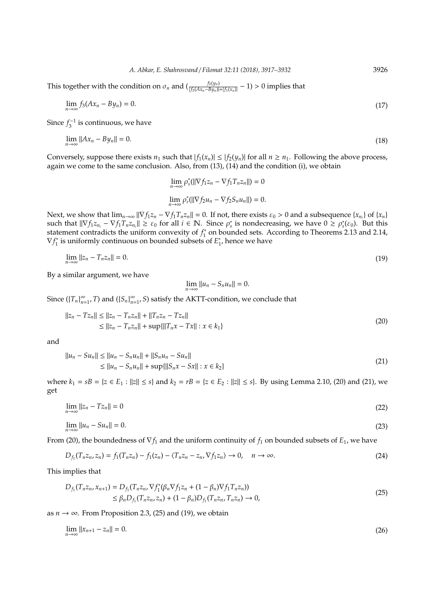This together with the condition on  $\sigma_n$  and  $(\frac{f_2(y_n)}{|f_3(Ax_n-By_n)|+|f_1(x_n)|}-1) > 0$  implies that

$$
\lim_{n \to \infty} f_3(Ax_n - By_n) = 0. \tag{17}
$$

Since  $f_3^{-1}$  is continuous, we have

$$
\lim_{n \to \infty} ||Ax_n - By_n|| = 0. \tag{18}
$$

Conversely, suppose there exists  $n_1$  such that  $|f_1(x_n)| \leq |f_2(y_n)|$  for all  $n \geq n_1$ . Following the above process, again we come to the same conclusion. Also, from (13), (14) and the condition (i), we obtain

$$
\lim_{n \to \infty} \rho_s^* (||\nabla f_1 z_n - \nabla f_1 T_n z_n||) = 0
$$
  

$$
\lim_{n \to \infty} \rho_r^* (||\nabla f_2 u_n - \nabla f_2 S_n u_n||) = 0.
$$

Next, we show that  $\lim_{n\to\infty} ||\nabla f_1 z_n - \nabla f_1 T_n z_n|| = 0$ . If not, there exists  $\varepsilon_0 > 0$  and a subsequence  $\{x_{n_i}\}$  of  $\{x_n\}$ such that  $\|\nabla f_1 z_{n_i} - \nabla f_1 T_n z_{n_i}\| \geq \varepsilon_0$  for all  $i \in \mathbb{N}$ . Since  $\rho_s^*$  is nondecreasing, we have  $0 \geq \rho_s^*(\varepsilon_0)$ . But this statement contradicts the uniform convexity of  $f_1^*$  $\int_{1}^{*}$  on bounded sets. According to Theorems 2.13 and 2.14, ∇*f* ∗ 1 is uniformly continuous on bounded subsets of *E* ∗  $i<sub>1</sub>$ , hence we have

$$
\lim_{n \to \infty} ||z_n - T_n z_n|| = 0. \tag{19}
$$

By a similar argument, we have

$$
\lim_{n\to\infty}||u_n - S_n u_n|| = 0.
$$

Since  $({T_n})_{n=0}^{\infty}$  $\sum_{n=1}^{\infty}$ , *T*) and  $(\{S_n\}_{n=1}^{\infty})$ *n*=1 , *S*) satisfy the AKTT-condition, we conclude that

$$
||z_n - Tz_n|| \le ||z_n - T_nz_n|| + ||T_nz_n - Tz_n||
$$
  
\n
$$
\le ||z_n - T_nz_n|| + \sup\{||T_nx - Tx|| : x \in k_1\}
$$
\n(20)

and

$$
||u_n - Su_n|| \le ||u_n - S_n u_n|| + ||S_n u_n - Su_n||
$$
  
\n
$$
\le ||u_n - S_n u_n|| + \sup \{||S_n x - Sx|| : x \in k_2\}
$$
\n(21)

where  $k_1 = sB = \{z \in E_1 : ||z|| \le s\}$  and  $k_2 = rB = \{z \in E_2 : ||z|| \le s\}$ . By using Lemma 2.10, (20) and (21), we get

$$
\lim_{n \to \infty} ||z_n - Tz_n|| = 0 \tag{22}
$$

$$
\lim_{n \to \infty} ||u_n - Su_n|| = 0. \tag{23}
$$

From (20), the boundedness of ∇*f*<sup>1</sup> and the uniform continuity of *f*<sup>1</sup> on bounded subsets of *E*1, we have

$$
D_{f_1}(T_n z_n, z_n) = f_1(T_n z_n) - f_1(z_n) - \langle T_n z_n - z_n, \nabla f_1 z_n \rangle \to 0, \quad n \to \infty.
$$
\n(24)

This implies that

$$
D_{f_1}(T_n z_n, x_{n+1}) = D_{f_1}(T_n z_n, \nabla f_1^* (\beta_n \nabla f_1 z_n + (1 - \beta_n) \nabla f_1 T_n z_n))
$$
  
\n
$$
\leq \beta_n D_{f_1}(T_n z_n, z_n) + (1 - \beta_n) D_{f_1}(T_n z_n, T_n z_n) \to 0,
$$
\n(25)

as  $n \to \infty$ . From Proposition 2.3, (25) and (19), we obtain

$$
\lim_{n \to \infty} ||x_{n+1} - z_n|| = 0. \tag{26}
$$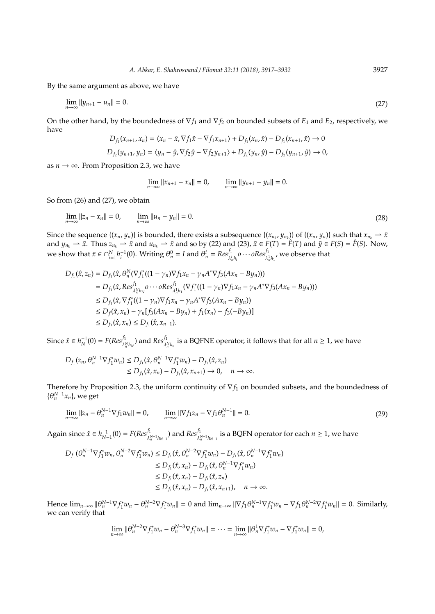By the same argument as above, we have

$$
\lim_{n \to \infty} \|y_{n+1} - u_n\| = 0. \tag{27}
$$

On the other hand, by the boundedness of ∇*f*<sup>1</sup> and ∇*f*<sup>2</sup> on bounded subsets of *E*<sup>1</sup> and *E*2, respectively, we have

$$
D_{f_1}(x_{n+1}, x_n) = \langle x_n - \hat{x}, \nabla f_1 \hat{x} - \nabla f_1 x_{n+1} \rangle + D_{f_1}(x_n, \hat{x}) - D_{f_1}(x_{n+1}, \hat{x}) \to 0
$$
  

$$
D_{f_2}(y_{n+1}, y_n) = \langle y_n - \hat{y}, \nabla f_2 \hat{y} - \nabla f_2 y_{n+1} \rangle + D_{f_2}(y_n, \hat{y}) - D_{f_2}(y_{n+1}, \hat{y}) \to 0,
$$

as  $n \rightarrow \infty$ . From Proposition 2.3, we have

$$
\lim_{n \to \infty} ||x_{n+1} - x_n|| = 0, \qquad \lim_{n \to \infty} ||y_{n+1} - y_n|| = 0.
$$

So from (26) and (27), we obtain

$$
\lim_{n \to \infty} ||z_n - x_n|| = 0, \qquad \lim_{n \to \infty} ||u_n - y_n|| = 0.
$$
\n(28)

Since the sequence  $\{(x_n,y_n)\}\$ is bounded, there exists a subsequence  $\{(x_{n_k}, y_{n_k})\}\$ of  $\{(x_n,y_n)\}\$ such that  $x_{n_k}\to \bar{x}$ and  $y_{n_k} \to \bar{x}$ . Thus  $z_{n_k} \to \bar{x}$  and  $u_{n_k} \to \bar{x}$  and so by (22) and (23),  $\bar{x} \in F(T) = \hat{F}(T)$  and  $\bar{y} \in F(S) = \hat{F}(S)$ . Now, we show that  $\bar{x} \in \cap_{i=1}^N h_i^{-1}(0)$ . Writing  $\theta_n^0 = I$  and  $\theta_n^i = Res_{\lambda_n^i h_i}^f o \cdots oRes_{\lambda_n^1 h_i}^f$ , we observe that

$$
D_{f_1}(\hat{x}, z_n) = D_{f_1}(\hat{x}, \theta_n^N(\nabla f_1^*((1 - \gamma_n)\nabla f_1x_n - \gamma_n A^* \nabla f_3(Ax_n - By_n)))
$$
  
\n
$$
= D_{f_1}(\hat{x}, Res_{\lambda_n^N h_N}^{f_1} o \cdots \circ Res_{\lambda_n^1 h_1}^{f_1} (\nabla f_1^*((1 - \gamma_n)\nabla f_1x_n - \gamma_n A^* \nabla f_3(Ax_n - By_n)))
$$
  
\n
$$
\leq D_{f_1}(\hat{x}, \nabla f_1^*((1 - \gamma_n)\nabla f_1x_n - \gamma_n A^* \nabla f_3(Ax_n - By_n))
$$
  
\n
$$
\leq D_{f_1}(\hat{x}, x_n) - \gamma_n [f_3(Ax_n - By_n) + f_1(x_n) - f_3(-By_n)]
$$
  
\n
$$
\leq D_{f_1}(\hat{x}, x_n) \leq D_{f_1}(\hat{x}, x_{n-1}).
$$

Since  $\hat{x} \in h_N^{-1}(0) = F(Res^{f_1}_{\lambda_n^N h_N})$  and  $Res^{f_1}_{\lambda_n^N h_n}$  is a BQFNE operator, it follows that for all  $n \ge 1$ , we have

$$
D_{f_1}(z_n, \theta_n^{N-1} \nabla f_1^* w_n) \le D_{f_1}(\hat{x}, \theta_n^{N-1} \nabla f_1^* w_n) - D_{f_1}(\hat{x}, z_n)
$$
  
\n
$$
\le D_{f_1}(\hat{x}, x_n) - D_{f_1}(\hat{x}, x_{n+1}) \to 0, \quad n \to \infty.
$$

Therefore by Proposition 2.3, the uniform continuity of ∇*f*<sup>1</sup> on bounded subsets, and the boundedness of  $\{\theta_n^{N-1}x_n\}$ , we get

$$
\lim_{n \to \infty} ||z_n - \theta_n^{N-1} \nabla f_1 w_n|| = 0, \qquad \lim_{n \to \infty} ||\nabla f_1 z_n - \nabla f_1 \theta_n^{N-1}|| = 0.
$$
\n(29)

Again since  $\hat{x} \in h_{N-1}^{-1}(0) = F(Res_{\lambda_n^{N-1}h_{N-1}}^{f_1})$  and  $Res_{\lambda_n^{N-1}h_{N-1}}^{f_1}$  is a BQFN operator for each  $n \ge 1$ , we have

$$
D_{f_1}(\theta_n^{N-1} \nabla f_1^* w_n, \theta_n^{N-2} \nabla f_1^* w_n) \le D_{f_1}(\hat{x}, \theta_n^{N-2} \nabla f_1^* w_n) - D_{f_1}(\hat{x}, \theta_n^{N-1} \nabla f_1^* w_n)
$$
  
\n
$$
\le D_{f_1}(\hat{x}, x_n) - D_{f_1}(\hat{x}, \theta_n^{N-1} \nabla f_1^* w_n)
$$
  
\n
$$
\le D_{f_1}(\hat{x}, x_n) - D_{f_1}(\hat{x}, z_n)
$$
  
\n
$$
\le D_{f_1}(\hat{x}, x_n) - D_{f_1}(\hat{x}, z_n, n) + D_{f_1}(\hat{x}, z_n)
$$

Hence  $\lim_{n\to\infty} ||\theta_n^{N-1} \nabla f_1^*$  $\int_1^x w_n - \theta_n^{N-2} \nabla f_1^*$  $\int_1^x w_n || = 0$  and  $\lim_{n \to \infty} || \nabla f_1 \theta_n^{N-1} \nabla f_1^*$  $\int_{1}^{x} w_n - \nabla f_1 \theta_n^{N-2} \nabla f_1^*$  $\int_1^{c*} w_n || = 0$ . Similarly, we can verify that

$$
\lim_{n\to\infty}||\theta_n^{N-2}\nabla f_1^*w_n-\theta_n^{N-3}\nabla f_1^*w_n||=\cdots=\lim_{n\to\infty}||\theta_n^1\nabla f_1^*w_n-\nabla f_1^*w_n||=0,
$$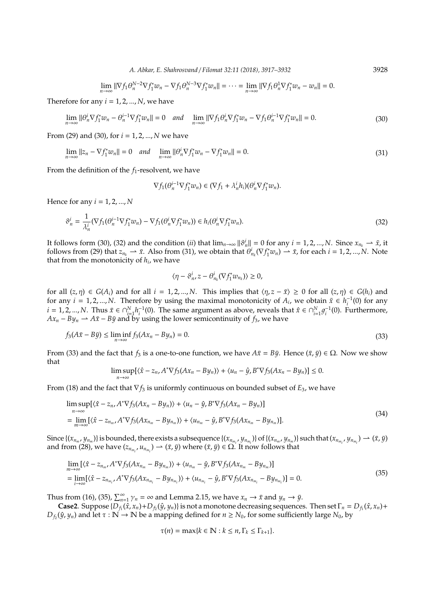$$
\lim_{n \to \infty} \|\nabla f_1 \theta_n^{N-2} \nabla f_1^* w_n - \nabla f_1 \theta_n^{N-3} \nabla f_1^* w_n\| = \dots = \lim_{n \to \infty} \|\nabla f_1 \theta_n^1 \nabla f_1^* w_n - w_n\| = 0.
$$

Therefore for any  $i = 1, 2, ..., N$ , we have

$$
\lim_{n \to \infty} \|\theta_n^i \nabla f_1^* w_n - \theta_n^{i-1} \nabla f_1^* w_n\| = 0 \quad \text{and} \quad \lim_{n \to \infty} \|\nabla f_1 \theta_n^i \nabla f_1^* w_n - \nabla f_1 \theta_n^{i-1} \nabla f_1^* w_n\| = 0. \tag{30}
$$

From (29) and (30), for *i* = 1, 2, ..., *N* we have

$$
\lim_{n \to \infty} ||z_n - \nabla f_1^* w_n|| = 0 \quad \text{and} \quad \lim_{n \to \infty} ||\theta_n^i \nabla f_1^* w_n - \nabla f_1^* w_n|| = 0. \tag{31}
$$

From the definition of the *f*<sub>1</sub>-resolvent, we have

$$
\nabla f_1(\theta_n^{i-1} \nabla f_1^* w_n) \in (\nabla f_1 + \lambda_n^i h_i)(\theta_n^i \nabla f_1^* w_n).
$$

Hence for any *i* = 1, 2, ..., *N*

$$
\vartheta_n^i = \frac{1}{\lambda_n^i} (\nabla f_1(\theta_n^{i-1} \nabla f_1^* w_n) - \nabla f_1(\theta_n^i \nabla f_1^* w_n)) \in h_i(\theta_n^i \nabla f_1^* w_n).
$$
\n(32)

It follows form (30), (32) and the condition (*ii*) that  $\lim_{n\to\infty} ||\vartheta_n^i|| = 0$  for any  $i = 1, 2, ..., N$ . Since  $x_{n_k} \to \bar{x}$ , it follows from (29) that  $z_{n_k} \to \bar{x}$ . Also from (31), we obtain that  $\theta^i_{n_k}(\nabla f^i_1)$  $I_1^*(w_n) \to \bar{x}$ , for each  $i = 1, 2, ..., N$ . Note that from the monotonicity of *h<sup>i</sup>* , we have

$$
\langle \eta-\vartheta_n^i,z-\theta_{n_k}^i(\nabla f_1^*w_{n_k})\rangle\geq 0,
$$

for all  $(z, \eta) \in G(A_i)$  and for all  $i = 1, 2, ..., N$ . This implies that  $\langle \eta, z - \overline{x} \rangle \ge 0$  for all  $(z, \eta) \in G(h_i)$  and for any *i* = 1, 2, ..., *N*. Therefore by using the maximal monotonicity of  $A_i$ , we obtain  $\bar{x} \in h_i^{-1}(0)$  for any *i* = 1, 2, ..., *N*. Thus  $\bar{x}$  ∈ ∩<sup>*N*</sup><sub>*i*=1</sub></sub> $h_i^{-1}(0)$ . The same argument as above, reveals that  $\hat{x}$  ∈ ∩<sup>*N*</sup><sub>*i*=1</sub> $g_i^{-1}(0)$ . Furthermore,  $Ax_n - By_n \to A\bar{x} - B\bar{y}$  and by using the lower semicontinuity of *f*<sub>3</sub>, we have

$$
f_3(A\bar{x} - B\bar{y}) \le \liminf_{n \to \infty} f_3(Ax_n - By_n) = 0.
$$
\n(33)

From (33) and the fact that  $f_3$  is a one-to-one function, we have  $A\bar{x} = B\bar{y}$ . Hence  $(\bar{x}, \bar{y}) \in \Omega$ . Now we show that

$$
\limsup_{n\to\infty} [\langle \hat{x} - z_n, A^* \nabla f_3(Ax_n - By_n) \rangle + \langle u_n - \hat{y}, B^* \nabla f_3(Ax_n - By_n)] \leq 0.
$$

From (18) and the fact that ∇*f*<sup>3</sup> is uniformly continuous on bounded subset of *E*3, we have

$$
\limsup_{n\to\infty} [\langle \hat{x} - z_n, A^* \nabla f_3(Ax_n - By_n) \rangle + \langle u_n - \hat{y}, B^* \nabla f_3(Ax_n - By_n) ]
$$
  
\n
$$
= \lim_{m\to\infty} [\langle \hat{x} - z_{n_m}, A^* \nabla f_3(Ax_{n_m} - By_{n_m}) \rangle + \langle u_{n_m} - \hat{y}, B^* \nabla f_3(Ax_{n_m} - By_{n_m}) ].
$$
\n(34)

Since  $\{(x_{n_m}, y_{n_m})\}$  is bounded, there exists a subsequence  $\{(x_{n_{m_i}}, y_{n_{m_i}})\}$  of  $\{(x_{n_m}, y_{n_m})\}$  such that  $(x_{n_{m_i}}, y_{n_{m_i}}) \to (\bar{x}, \bar{y})$ and from (28), we have  $(z_{n_{m_i}}, u_{n_{m_i}}) \to (\bar{x}, \bar{y})$  where  $(\bar{x}, \bar{y}) \in \Omega$ . It now follows that

$$
\lim_{m \to \infty} [\langle \hat{x} - z_{n_m}, A^* \nabla f_3 (Ax_{n_m} - By_{n_m}) \rangle + \langle u_{n_m} - \hat{y}, B^* \nabla f_3 (Ax_{n_m} - By_{n_m}) \rangle] \n= \lim_{i \to \infty} [\langle \hat{x} - z_{n_{m_i}}, A^* \nabla f_3 (Ax_{n_{m_i}} - By_{n_{m_i}}) \rangle + \langle u_{n_{m_i}} - \hat{y}, B^* \nabla f_3 (Ax_{n_{m_i}} - By_{n_{m_i}}) \rangle] = 0.
$$
\n(35)

Thus from (16), (35),  $\sum_{n=1}^{\infty} \gamma_n = \infty$  and Lemma 2.15, we have  $x_n \to \bar{x}$  and  $y_n \to \bar{y}$ .

**Case2**. Suppose  $\{D_{f_1}(\hat{x}, x_n) + D_{f_2}(\hat{y}, y_n)\}\$  is not a monotone decreasing sequences. Then set  $\Gamma_n = D_{f_1}(\hat{x}, x_n) + D_{f_2}(\hat{y}, y_n)\}$  $D_f(y, y_n)$  and let  $\tau : \mathbb{N} \to \mathbb{N}$  be a mapping defined for  $n \ge N_0$ , for some sufficiently large  $N_0$ , by

$$
\tau(n) = \max\{k \in \mathbb{N} : k \le n, \Gamma_k \le \Gamma_{k+1}\}.
$$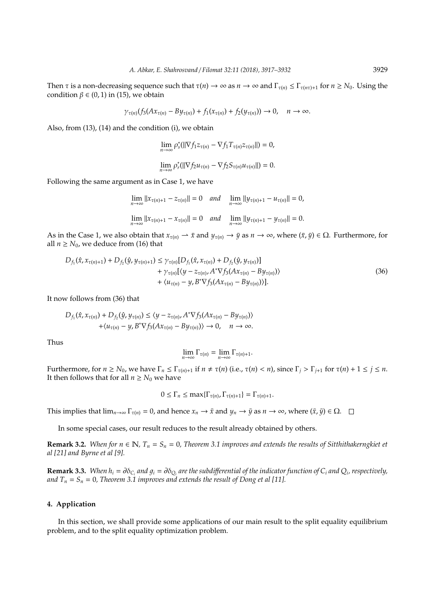Then  $\tau$  is a non-decreasing sequence such that  $\tau(n) \to \infty$  as  $n \to \infty$  and  $\Gamma_{\tau(n)} \leq \Gamma_{\tau(n\tau)+1}$  for  $n \geq N_0$ . Using the condition  $\beta \in (0, 1)$  in (15), we obtain

$$
\gamma_{\tau(n)}(f_3(Ax_{\tau(n)}-By_{\tau(n)})+f_1(x_{\tau(n)})+f_2(y_{\tau(n)}))\to 0, \quad n\to\infty.
$$

Also, from (13), (14) and the condition (i), we obtain

$$
\begin{aligned} & \lim_{n\to\infty}\rho_s^*(||\nabla f_1z_{\tau(n)}-\nabla f_1T_{\tau(n)}z_{\tau(n)}||)=0,\\ & \lim_{n\to\infty}\rho_r^*(||\nabla f_2u_{\tau(n)}-\nabla f_2S_{\tau(n)}u_{\tau(n)}||)=0. \end{aligned}
$$

Following the same argument as in Case 1, we have

$$
\lim_{n \to \infty} ||x_{\tau(n)+1} - z_{\tau(n)}|| = 0 \quad and \quad \lim_{n \to \infty} ||y_{\tau(n)+1} - u_{\tau(n)}|| = 0,
$$
  

$$
\lim_{n \to \infty} ||x_{\tau(n)+1} - x_{\tau(n)}|| = 0 \quad and \quad \lim_{n \to \infty} ||y_{\tau(n)+1} - y_{\tau(n)}|| = 0.
$$

As in the Case 1, we also obtain that  $x_{\tau(n)} \to \bar{x}$  and  $y_{\tau(n)} \to \bar{y}$  as  $n \to \infty$ , where  $(\bar{x}, \bar{y}) \in \Omega$ . Furthermore, for all  $n \geq N_0$ , we deduce from (16) that

$$
D_{f_1}(\hat{x}, x_{\tau(n)+1}) + D_{f_2}(\hat{y}, y_{\tau(n)+1}) \leq \gamma_{\tau(n)} [D_{f_1}(\hat{x}, x_{\tau(n)}) + D_{f_2}(\hat{y}, y_{\tau(n)})] + \gamma_{\tau(n)} [\langle y - z_{\tau(n)}, A^* \nabla f_3(A x_{\tau(n)} - B y_{\tau(n)}) \rangle + \langle u_{\tau(n)} - y, B^* \nabla f_3(A x_{\tau(n)} - B y_{\tau(n)}) \rangle].
$$
\n(36)

It now follows from (36) that

$$
D_{f_1}(\hat{x}, x_{\tau(n)}) + D_{f_2}(\hat{y}, y_{\tau(n)}) \le \langle y - z_{\tau(n)}, A^* \nabla f_3(A x_{\tau(n)} - By_{\tau(n)}) \rangle + \langle u_{\tau(n)} - y, B^* \nabla f_3(A x_{\tau(n)} - By_{\tau(n)}) \rangle \to 0, \quad n \to \infty.
$$

Thus

$$
\lim_{n\to\infty}\Gamma_{\tau(n)}=\lim_{n\to\infty}\Gamma_{\tau(n)+1}.
$$

Furthermore, for  $n \ge N_0$ , we have  $\Gamma_n \le \Gamma_{\tau(n)+1}$  if  $n \ne \tau(n)$  (i.e.,  $\tau(n) < n$ ), since  $\Gamma_i > \Gamma_{i+1}$  for  $\tau(n) + 1 \le j \le n$ . It then follows that for all  $n \geq N_0$  we have

$$
0 \leq \Gamma_n \leq \max\{\Gamma_{\tau(n)}, \Gamma_{\tau(n)+1}\} = \Gamma_{\tau(n)+1}.
$$

This implies that  $\lim_{n\to\infty} \Gamma_{\tau(n)} = 0$ , and hence  $x_n \to \bar{x}$  and  $y_n \to \bar{y}$  as  $n \to \infty$ , where  $(\bar{x}, \bar{y}) \in \Omega$ .  $\square$ 

In some special cases, our result reduces to the result already obtained by others.

**Remark 3.2.** *When for n* ∈ **N**,  $T_n$  =  $S_n$  = 0, *Theorem 3.1 improves and extends the results of Sitthithakerngkiet et al [21] and Byrne et al [9].*

**Remark 3.3.** When  $h_i = \partial \delta_{C_i}$  and  $g_i = \partial \delta_{Q_i}$  are the subdifferential of the indicator function of  $C_i$  and  $Q_i$ , respectively, *and*  $T_n = S_n = 0$ , Theorem 3.1 improves and extends the result of Dong et al [11].

## **4. Application**

In this section, we shall provide some applications of our main result to the split equality equilibrium problem, and to the split equality optimization problem.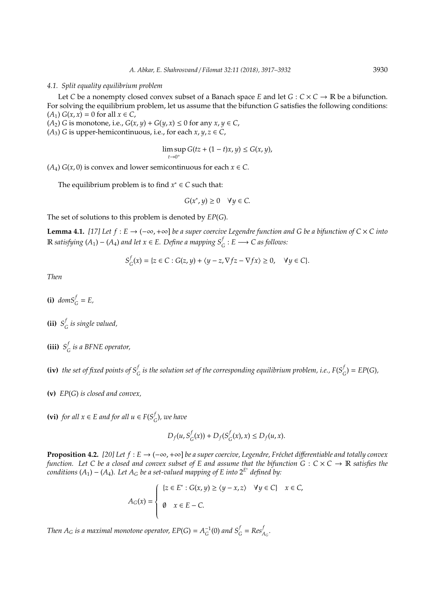#### *4.1. Split equality equilibrium problem*

Let *C* be a nonempty closed convex subset of a Banach space *E* and let  $G : C \times C \rightarrow \mathbb{R}$  be a bifunction. For solving the equilibrium problem, let us assume that the bifunction *G* satisfies the following conditions:  $(A_1) G(x, x) = 0$  for all *x* ∈ *C*,

 $(A_2)$  *G* is monotone, i.e.,  $G(x, y) + G(y, x) \le 0$  for any  $x, y \in C$ ,

( $A_3$ ) *G* is upper-hemicontinuous, i.e., for each *x*, *y*, *z*  $\in$  *C*,

$$
\limsup_{t\to 0^+} G(tz+(1-t)x,y)\leq G(x,y),
$$

( $A_4$ )  $G(x, 0)$  is convex and lower semicontinuous for each  $x \in C$ .

The equilibrium problem is to find  $x^* \in C$  such that:

$$
G(x^*, y) \ge 0 \quad \forall y \in C.
$$

The set of solutions to this problem is denoted by *EP*(*G*).

**Lemma 4.1.** *[17] Let f* : *E* → (−∞,+∞] *be a super coercive Legendre function and G be a bifunction of C* × *C into*  $\mathbb R$  *satisfying* (*A*<sub>1</sub>) − (*A*<sub>4</sub>) *and let*  $x \in E$ *. Define a mapping*  $S_G^f$  :  $E$  → *C as follows*:

$$
S_G^f(x) = \{ z \in C : G(z, y) + \langle y - z, \nabla f z - \nabla f x \rangle \ge 0, \quad \forall y \in C \}.
$$

*Then*

**(i)**  $domS_G^f = E$ ,

**(ii)**  $S^f_c$ *G is single valued,*

**(iii)**  $S^f$ *G is a BFNE operator,*

**(iv)** the set of fixed points of  $S_G^f$  is the solution set of the corresponding equilibrium problem, i.e.,  $F(S_G^f)$  $E_{G}^{(1)}$  = *EP*(*G*)*,* 

**(v)** *EP*(*G*) *is closed and convex,*

**(vi)** *for all x* ∈ *E and for all u* ∈ *F*( $S^f$ <sub>*c*</sub> *G* )*, we have*

$$
D_f(u, S_G^f(x)) + D_f(S_G^f(x), x) \le D_f(u, x).
$$

**Proposition 4.2.** *[20] Let f* :  $E \rightarrow (-\infty, +\infty]$  *be a super coercive, Legendre, Fréchet differentiable and totally convex function.* Let C be a closed and convex subset of E and assume that the bifunction  $G: C \times C \to \mathbb{R}$  satisfies the *conditions* (*A*1) − (*A*4)*. Let A<sup>G</sup> be a set-valued mapping of E into* 2 *E* ∗ *defined by:*

$$
A_G(x) = \begin{cases} \{z \in E^* : G(x, y) \ge \langle y - x, z \rangle & \forall y \in C\} & x \in C, \\ \emptyset & x \in E - C. \end{cases}
$$

*Then*  $A_G$  *is a maximal monotone operator,*  $EP(G) = A_G^{-1}(0)$  *<i>and*  $S_G^f = Res_{A_G}^f$ .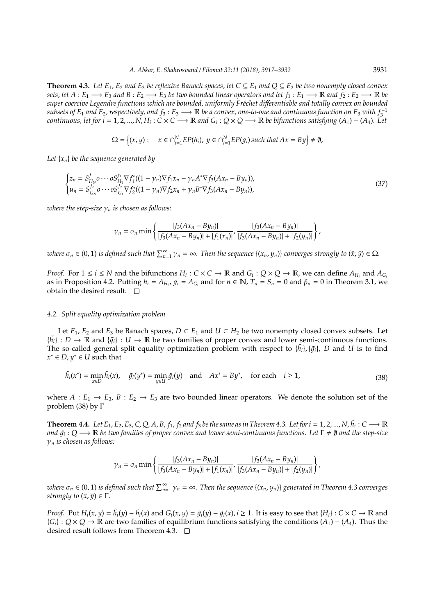**Theorem 4.3.** Let  $E_1$ ,  $E_2$  and  $E_3$  be reflexive Banach spaces, let  $C \subseteq E_1$  and  $O \subseteq E_2$  be two nonempty closed convex *sets, let*  $A: E_1 \longrightarrow E_3$  *and*  $B: E_2 \longrightarrow E_3$  *be two bounded linear operators and let*  $f_1: E_1 \longrightarrow \mathbb{R}$  *and*  $f_2: E_2 \longrightarrow \mathbb{R}$  *be super coercive Legendre functions which are bounded, uniformly Fr´echet di*ff*erentiable and totally convex on bounded*  $subsets$  of  $E_1$  and  $E_2$ , respectively, and  $f_3$  :  $E_3$  →  $\R$  be a convex, one-to-one and continuous function on  $E_3$  with  $f_3^{-1}$  $f$  *Continuous, let for i* = 1, 2, ...,  $N$ ,  $H_i$  :  $C$   $\times$   $C$   $\longrightarrow$   $\R$  *and*  $G_i$  *: Q*  $\times$   $Q$   $\longrightarrow$   $\R$  *be bifunctions satisfying (A*<sub>1</sub>) – (A<sub>4</sub>). Let

$$
\Omega = \left\{ (x, y) : \quad x \in \bigcap_{i=1}^{N} EP(h_i), \ y \in \bigcap_{i=1}^{N} EP(g_i) \text{ such that } Ax = By \right\} \neq \emptyset,
$$

*Let* {*xn*} *be the sequence generated by*

$$
\begin{cases} z_n = S_{H_N}^{f_1} \circ \cdots \circ S_{H_1}^{f_1} \nabla f_1^* ((1 - \gamma_n) \nabla f_1 x_n - \gamma_n A^* \nabla f_3 (Ax_n - By_n)), \\ u_n = S_{G_N}^{f_2} \circ \cdots \circ S_{G_1}^{f_2} \nabla f_2^* ((1 - \gamma_n) \nabla f_2 x_n + \gamma_n B^* \nabla f_3 (Ax_n - By_n)), \end{cases} \tag{37}
$$

*where the step-size*  $\gamma_n$  *is chosen as follows:* 

$$
\gamma_n = \sigma_n \min \left\{ \frac{|f_3(Ax_n - By_n)|}{|f_3(Ax_n - By_n)| + |f_1(x_n)|}, \frac{|f_3(Ax_n - By_n)|}{|f_3(Ax_n - By_n)| + |f_2(y_n)|} \right\},\,
$$

 $n = 0, 1$  *is defined such that*  $\sum_{n=1}^{\infty} \gamma_n = \infty$ . Then the sequence  $\{(x_n, y_n)\}$  converges strongly to  $(\bar{x}, \bar{y}) \in \Omega$ .

*Proof.* For  $1 \le i \le N$  and the bifunctions  $H_i: C \times C \to \mathbb{R}$  and  $G_i: Q \times Q \to \mathbb{R}$ , we can define  $A_{H_i}$  and  $A_{G_i}$ as in Proposition 4.2. Putting  $h_i = A_{H_i}$ ,  $g_i = A_{G_i}$  and for  $n \in \mathbb{N}$ ,  $T_n = S_n = 0$  and  $\beta_n = 0$  in Theorem 3.1, we obtain the desired result.  $\square$ 

## *4.2. Split equality optimization problem*

Let *E*<sub>1</sub>, *E*<sub>2</sub> and *E*<sub>3</sub> be Banach spaces, *D* ⊂ *E*<sub>1</sub> and *U* ⊂ *H*<sub>2</sub> be two nonempty closed convex subsets. Let  $\{\tilde{h}_i\}: D \to \mathbb{R}$  and  $\{\tilde{g}_i\}: U \to \mathbb{R}$  be two families of proper convex and lower semi-continuous functions. The so-called general split equality optimization problem with respect to  $\{\tilde{h_i}\}$ ,  $\{\tilde{g_i}\}$ , D and U is to find  $x^*$  ∈ *D*,  $y^*$  ∈ *U* such that

$$
\tilde{h}_i(x^*) = \min_{x \in D} \tilde{h}_i(x), \quad \tilde{g}_i(y^*) = \min_{y \in U} \tilde{g}_i(y) \quad \text{and} \quad Ax^* = By^*, \quad \text{for each} \quad i \ge 1,
$$
\n(38)

where  $A: E_1 \to E_3$ ,  $B: E_2 \to E_3$  are two bounded linear operators. We denote the solution set of the problem (38) by Γ

**Theorem 4.4.** Let  $E_1, E_2, E_3, C, Q, A, B, f_1, f_2$  and  $f_3$  be the same as in Theorem 4.3. Let for  $i = 1, 2, ..., N$ ,  $\tilde{h}_i : C \longrightarrow \mathbb{R}$ *and*  $\tilde{g}_i$  *: Q →*  $\R$  *be two families of proper convex and lower semi-continuous functions. Let Γ ≠ 0 and the step-size* γ*<sup>n</sup> is chosen as follows:*

$$
\gamma_n = \sigma_n \min \left\{ \frac{|f_3(Ax_n - By_n)|}{|f_3(Ax_n - By_n)| + |f_1(x_n)|}, \frac{|f_3(Ax_n - By_n)|}{|f_3(Ax_n - By_n)| + |f_2(y_n)|} \right\},\,
$$

 $\nu$ here  $\sigma_n \in (0,1)$  is defined such that  $\sum_{n=1}^{\infty}\gamma_n=\infty$ . Then the sequence  $\{(x_n,y_n)\}$  generated in Theorem 4.3 converges *strongly to*  $(\bar{x}, \bar{y}) \in \Gamma$ *.* 

*Proof.* Put  $H_i(x, y) = \tilde{h}_i(y) - \tilde{h}_i(x)$  and  $G_i(x, y) = \tilde{g}_i(y) - \tilde{g}_i(x)$ ,  $i \ge 1$ . It is easy to see that  $\{H_i\}$ :  $C \times C \rightarrow \mathbb{R}$  and {*Gi*} : *Q* × *Q* → R are two families of equilibrium functions satisfying the conditions (*A*1) − (*A*4). Thus the desired result follows from Theorem 4.3.  $\Box$